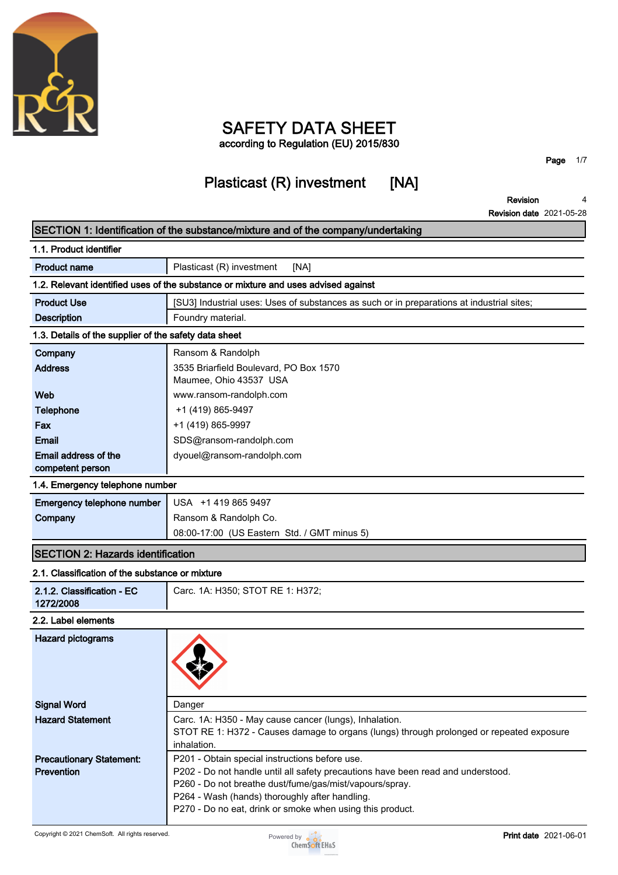

### **SAFETY DATA SHEET according to Regulation (EU) 2015/830**

# **Plasticast (R) investment [NA]**

**Page 1/7**

**Revision 4**

|                                                       | <b>Revision date 2021-05-28</b>                                                                                                                    |
|-------------------------------------------------------|----------------------------------------------------------------------------------------------------------------------------------------------------|
|                                                       | SECTION 1: Identification of the substance/mixture and of the company/undertaking                                                                  |
| 1.1. Product identifier                               |                                                                                                                                                    |
| <b>Product name</b>                                   | Plasticast (R) investment<br>[NA]                                                                                                                  |
|                                                       | 1.2. Relevant identified uses of the substance or mixture and uses advised against                                                                 |
| <b>Product Use</b>                                    | [SU3] Industrial uses: Uses of substances as such or in preparations at industrial sites;                                                          |
| <b>Description</b>                                    | Foundry material.                                                                                                                                  |
| 1.3. Details of the supplier of the safety data sheet |                                                                                                                                                    |
| Company                                               | Ransom & Randolph                                                                                                                                  |
| <b>Address</b>                                        | 3535 Briarfield Boulevard, PO Box 1570<br>Maumee, Ohio 43537 USA                                                                                   |
| Web                                                   | www.ransom-randolph.com                                                                                                                            |
| Telephone                                             | +1 (419) 865-9497                                                                                                                                  |
| Fax                                                   | +1 (419) 865-9997                                                                                                                                  |
| Email                                                 | SDS@ransom-randolph.com                                                                                                                            |
| Email address of the<br>competent person              | dyouel@ransom-randolph.com                                                                                                                         |
| 1.4. Emergency telephone number                       |                                                                                                                                                    |
| Emergency telephone number                            | USA +1 419 865 9497                                                                                                                                |
| Company                                               | Ransom & Randolph Co.                                                                                                                              |
|                                                       | 08:00-17:00 (US Eastern Std. / GMT minus 5)                                                                                                        |
| <b>SECTION 2: Hazards identification</b>              |                                                                                                                                                    |
| 2.1. Classification of the substance or mixture       |                                                                                                                                                    |
| 2.1.2. Classification - EC<br>1272/2008               | Carc. 1A: H350; STOT RE 1: H372;                                                                                                                   |
| 2.2. Label elements                                   |                                                                                                                                                    |
| <b>Hazard pictograms</b>                              |                                                                                                                                                    |
| <b>Signal Word</b>                                    | Danger                                                                                                                                             |
| <b>Hazard Statement</b>                               | Carc. 1A: H350 - May cause cancer (lungs), Inhalation.<br>STOT RE 1: H372 - Causes damage to organs (lungs) through prolonged or repeated exposure |
|                                                       | inhalation.                                                                                                                                        |
| <b>Precautionary Statement:</b>                       | P201 - Obtain special instructions before use.                                                                                                     |
| Prevention                                            | P202 - Do not handle until all safety precautions have been read and understood.                                                                   |
|                                                       | P260 - Do not breathe dust/fume/gas/mist/vapours/spray.                                                                                            |
|                                                       | P264 - Wash (hands) thoroughly after handling.<br>P270 - Do no eat, drink or smoke when using this product.                                        |
| Copyright © 2021 ChemSoft. All rights reserved.       | <b>Print date</b> 2021-06-01<br>Powered by $\alpha$<br><b>ChemSoft EH&amp;S</b>                                                                    |

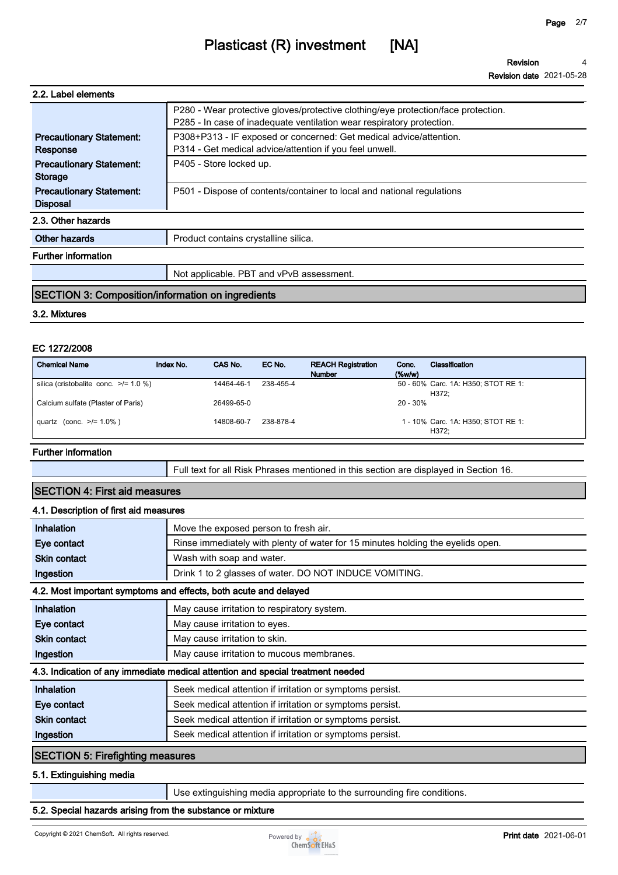| 2.2. Label elements                                |                                                                                                                                                            |
|----------------------------------------------------|------------------------------------------------------------------------------------------------------------------------------------------------------------|
|                                                    | P280 - Wear protective gloves/protective clothing/eye protection/face protection.<br>P285 - In case of inadequate ventilation wear respiratory protection. |
| <b>Precautionary Statement:</b><br>Response        | P308+P313 - IF exposed or concerned: Get medical advice/attention.<br>P314 - Get medical advice/attention if you feel unwell.                              |
| <b>Precautionary Statement:</b><br><b>Storage</b>  | P405 - Store locked up.                                                                                                                                    |
| <b>Precautionary Statement:</b><br><b>Disposal</b> | P501 - Dispose of contents/container to local and national regulations                                                                                     |
| 2.3. Other hazards                                 |                                                                                                                                                            |
| Other hazards                                      | Product contains crystalline silica.                                                                                                                       |
| <b>Further information</b>                         |                                                                                                                                                            |
|                                                    | Not applicable. PBT and vPvB assessment.                                                                                                                   |

### **SECTION 3: Composition/information on ingredients**

#### **3.2. Mixtures**

### **EC 1272/2008**

| <b>Chemical Name</b>                       | Index No. | CAS No.    | EC No.    | <b>REACH Registration</b><br><b>Number</b> | Conc.<br>$(\%w/w)$ | Classification                               |
|--------------------------------------------|-----------|------------|-----------|--------------------------------------------|--------------------|----------------------------------------------|
| silica (cristobalite conc. $\ge$ /= 1.0 %) |           | 14464-46-1 | 238-455-4 |                                            |                    | 50 - 60% Carc. 1A: H350; STOT RE 1:<br>H372: |
| Calcium sulfate (Plaster of Paris)         |           | 26499-65-0 |           |                                            | 20 - 30%           |                                              |
| quartz (conc. $>1.0\%$ )                   |           | 14808-60-7 | 238-878-4 |                                            |                    | 1 - 10% Carc. 1A: H350; STOT RE 1:<br>H372;  |

### **Further information**

**Full text for all Risk Phrases mentioned in this section are displayed in Section 16.**

### **SECTION 4: First aid measures 4.1. Description of first aid measures Inhalation Move the exposed person to fresh air. Eye contact Rinse immediately with plenty of water for 15 minutes holding the eyelids open. Skin contact Wash with soap and water. Ingestion Drink 1 to 2 glasses of water. DO NOT INDUCE VOMITING. 4.2. Most important symptoms and effects, both acute and delayed Inhalation May cause irritation to respiratory system. Eye contact May cause irritation to eyes. Skin contact May cause irritation to skin. Ingestion May cause irritation to mucous membranes. 4.3. Indication of any immediate medical attention and special treatment needed Inhalation Seek medical attention if irritation or symptoms persist. Eye contact Seek medical attention if irritation or symptoms persist. Skin contact Skin contact Seek medical attention if irritation or symptoms persist. Ingestion Seek medical attention if irritation or symptoms persist. SECTION 5: Firefighting measures**

#### **5.1. Extinguishing media**

**Use extinguishing media appropriate to the surrounding fire conditions.**

### **5.2. Special hazards arising from the substance or mixture**

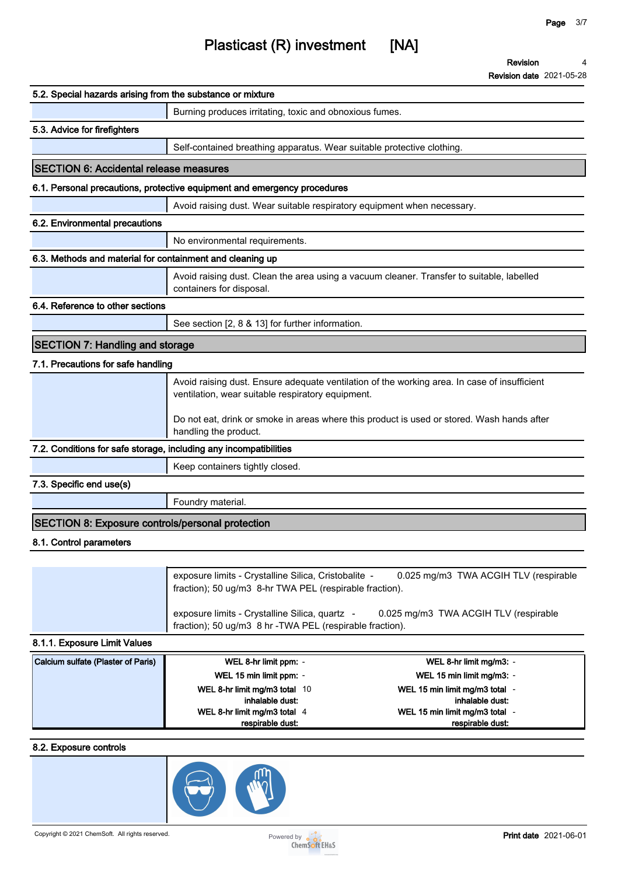# **Plasticast (R) investment [NA]**

**Revision 4**

**Revision date 2021-05-28**

| 5.2. Special hazards arising from the substance or mixture        |                                                                                                                                                          |
|-------------------------------------------------------------------|----------------------------------------------------------------------------------------------------------------------------------------------------------|
|                                                                   | Burning produces irritating, toxic and obnoxious fumes.                                                                                                  |
| 5.3. Advice for firefighters                                      |                                                                                                                                                          |
|                                                                   | Self-contained breathing apparatus. Wear suitable protective clothing.                                                                                   |
| <b>SECTION 6: Accidental release measures</b>                     |                                                                                                                                                          |
|                                                                   | 6.1. Personal precautions, protective equipment and emergency procedures                                                                                 |
|                                                                   | Avoid raising dust. Wear suitable respiratory equipment when necessary.                                                                                  |
| 6.2. Environmental precautions                                    |                                                                                                                                                          |
|                                                                   | No environmental requirements.                                                                                                                           |
| 6.3. Methods and material for containment and cleaning up         |                                                                                                                                                          |
|                                                                   | Avoid raising dust. Clean the area using a vacuum cleaner. Transfer to suitable, labelled<br>containers for disposal.                                    |
| 6.4. Reference to other sections                                  |                                                                                                                                                          |
|                                                                   | See section [2, 8 & 13] for further information.                                                                                                         |
| <b>SECTION 7: Handling and storage</b>                            |                                                                                                                                                          |
| 7.1. Precautions for safe handling                                |                                                                                                                                                          |
|                                                                   | Avoid raising dust. Ensure adequate ventilation of the working area. In case of insufficient<br>ventilation, wear suitable respiratory equipment.        |
|                                                                   | Do not eat, drink or smoke in areas where this product is used or stored. Wash hands after<br>handling the product.                                      |
| 7.2. Conditions for safe storage, including any incompatibilities |                                                                                                                                                          |
|                                                                   | Keep containers tightly closed.                                                                                                                          |
| 7.3. Specific end use(s)                                          |                                                                                                                                                          |
|                                                                   | Foundry material.                                                                                                                                        |
| <b>SECTION 8: Exposure controls/personal protection</b>           |                                                                                                                                                          |
| 8.1. Control parameters                                           |                                                                                                                                                          |
|                                                                   |                                                                                                                                                          |
|                                                                   | exposure limits - Crystalline Silica, Cristobalite -<br>0.025 mg/m3 TWA ACGIH TLV (respirable<br>fraction); 50 ug/m3 8-hr TWA PEL (respirable fraction). |

**8.1.1. Exposure Limit Values**

| Calcium sulfate (Plaster of Paris) | WEL 8-hr limit ppm: -         | WEL 8-hr limit mg/m3: -      |
|------------------------------------|-------------------------------|------------------------------|
|                                    | WEL 15 min limit ppm: -       | WEL 15 min limit mg/m3: -    |
|                                    | WEL 8-hr limit mg/m3 total 10 | WEL 15 min limit mg/m3 total |
|                                    | inhalable dust:               | inhalable dust:              |
|                                    | WEL 8-hr limit mg/m3 total 4  | WEL 15 min limit mg/m3 total |
|                                    | respirable dust:              | respirable dust:             |

**fraction); 50 ug/m3 8 hr -TWA PEL (respirable fraction).**

**exposure limits - Crystalline Silica, quartz - 0.025 mg/m3 TWA ACGIH TLV (respirable** 

### **8.2. Exposure controls**

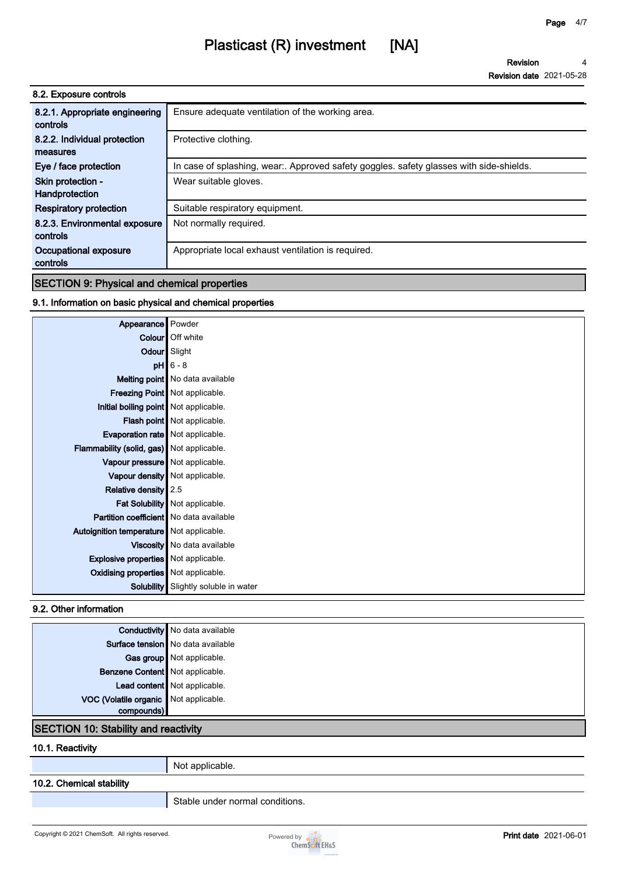## **Plasticast (R) investment [NA]**

**Revision Revision date 2021-05-28 4**

| 8.2. Exposure controls                     |                                                                                       |
|--------------------------------------------|---------------------------------------------------------------------------------------|
| 8.2.1. Appropriate engineering<br>controls | Ensure adequate ventilation of the working area.                                      |
| 8.2.2. Individual protection               | Protective clothing.                                                                  |
| measures                                   |                                                                                       |
| Eye / face protection                      | In case of splashing, wear Approved safety goggles. safety glasses with side-shields. |
| Skin protection -                          | Wear suitable gloves.                                                                 |
| Handprotection                             |                                                                                       |
| <b>Respiratory protection</b>              | Suitable respiratory equipment.                                                       |
| 8.2.3. Environmental exposure              | Not normally required.                                                                |
| controls                                   |                                                                                       |
| Occupational exposure                      | Appropriate local exhaust ventilation is required.                                    |
| controls                                   |                                                                                       |

### **SECTION 9: Physical and chemical properties**

### **9.1. Information on basic physical and chemical properties**

| Appearance                                  | Powder                            |
|---------------------------------------------|-----------------------------------|
|                                             | Colour Off white                  |
| Odour                                       | Slight                            |
| pH                                          | $6 - 8$                           |
|                                             | Melting point   No data available |
|                                             | Freezing Point   Not applicable.  |
| Initial boiling point Not applicable.       |                                   |
|                                             | Flash point   Not applicable.     |
| Evaporation rate   Not applicable.          |                                   |
| Flammability (solid, gas) Not applicable.   |                                   |
| Vapour pressure   Not applicable.           |                                   |
|                                             | Vapour density   Not applicable.  |
| <b>Relative density</b>                     | 2.5                               |
|                                             | Fat Solubility   Not applicable.  |
| Partition coefficient   No data available   |                                   |
| Autoignition temperature   Not applicable.  |                                   |
|                                             | Viscosity   No data available     |
| <b>Explosive properties</b> Not applicable. |                                   |
| <b>Oxidising properties</b> Not applicable. |                                   |
| <b>Solubility</b>                           | Slightly soluble in water         |

### **9.2. Other information**

|                                       | <b>Conductivity</b> No data available |
|---------------------------------------|---------------------------------------|
| Surface tension   No data available   |                                       |
| Gas group Not applicable.             |                                       |
| Benzene Content   Not applicable.     |                                       |
| Lead content Not applicable.          |                                       |
| VOC (Volatile organic Not applicable. |                                       |
| compounds)                            |                                       |

### **SECTION 10: Stability and reactivity**

### **10.1. Reactivity**

**Not applicable.**

### **10.2. Chemical stability**

**Stable under normal conditions.**

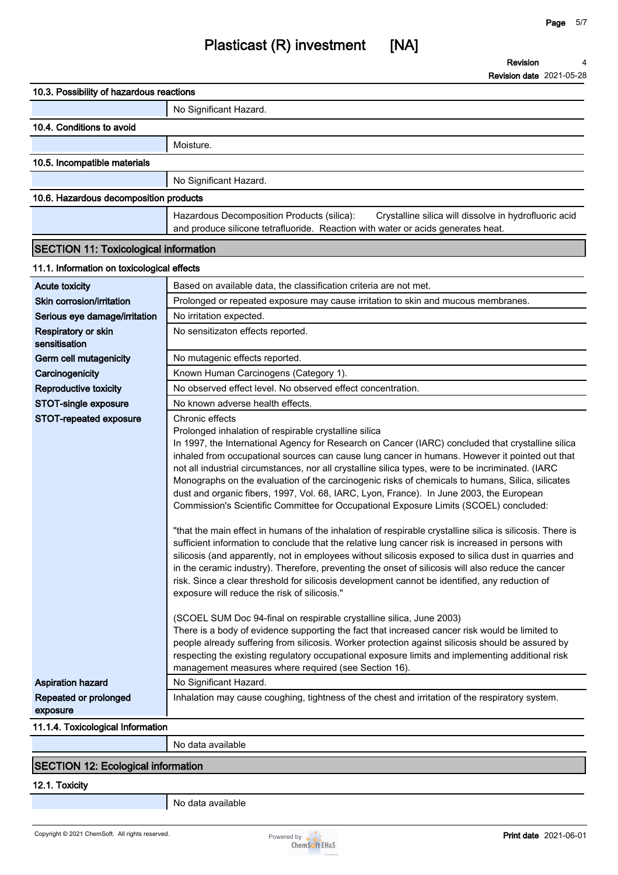**Revision Revision date 2021-05-28 4**

| 10.3. Possibility of hazardous reactions     |                                                                                                                                                                                                                                                                                                                                                                                                                                                                                                                                                                                                                                                                                                                                                                                                                                                                                                                                                                                                                                                                                                                                                                                                                                                                                                                                                                                                                                                                                                                                                                                                                                                     |
|----------------------------------------------|-----------------------------------------------------------------------------------------------------------------------------------------------------------------------------------------------------------------------------------------------------------------------------------------------------------------------------------------------------------------------------------------------------------------------------------------------------------------------------------------------------------------------------------------------------------------------------------------------------------------------------------------------------------------------------------------------------------------------------------------------------------------------------------------------------------------------------------------------------------------------------------------------------------------------------------------------------------------------------------------------------------------------------------------------------------------------------------------------------------------------------------------------------------------------------------------------------------------------------------------------------------------------------------------------------------------------------------------------------------------------------------------------------------------------------------------------------------------------------------------------------------------------------------------------------------------------------------------------------------------------------------------------------|
|                                              | No Significant Hazard.                                                                                                                                                                                                                                                                                                                                                                                                                                                                                                                                                                                                                                                                                                                                                                                                                                                                                                                                                                                                                                                                                                                                                                                                                                                                                                                                                                                                                                                                                                                                                                                                                              |
| 10.4. Conditions to avoid                    |                                                                                                                                                                                                                                                                                                                                                                                                                                                                                                                                                                                                                                                                                                                                                                                                                                                                                                                                                                                                                                                                                                                                                                                                                                                                                                                                                                                                                                                                                                                                                                                                                                                     |
|                                              | Moisture.                                                                                                                                                                                                                                                                                                                                                                                                                                                                                                                                                                                                                                                                                                                                                                                                                                                                                                                                                                                                                                                                                                                                                                                                                                                                                                                                                                                                                                                                                                                                                                                                                                           |
| 10.5. Incompatible materials                 |                                                                                                                                                                                                                                                                                                                                                                                                                                                                                                                                                                                                                                                                                                                                                                                                                                                                                                                                                                                                                                                                                                                                                                                                                                                                                                                                                                                                                                                                                                                                                                                                                                                     |
|                                              | No Significant Hazard.                                                                                                                                                                                                                                                                                                                                                                                                                                                                                                                                                                                                                                                                                                                                                                                                                                                                                                                                                                                                                                                                                                                                                                                                                                                                                                                                                                                                                                                                                                                                                                                                                              |
| 10.6. Hazardous decomposition products       |                                                                                                                                                                                                                                                                                                                                                                                                                                                                                                                                                                                                                                                                                                                                                                                                                                                                                                                                                                                                                                                                                                                                                                                                                                                                                                                                                                                                                                                                                                                                                                                                                                                     |
|                                              | Hazardous Decomposition Products (silica):<br>Crystalline silica will dissolve in hydrofluoric acid<br>and produce silicone tetrafluoride. Reaction with water or acids generates heat.                                                                                                                                                                                                                                                                                                                                                                                                                                                                                                                                                                                                                                                                                                                                                                                                                                                                                                                                                                                                                                                                                                                                                                                                                                                                                                                                                                                                                                                             |
| <b>SECTION 11: Toxicological information</b> |                                                                                                                                                                                                                                                                                                                                                                                                                                                                                                                                                                                                                                                                                                                                                                                                                                                                                                                                                                                                                                                                                                                                                                                                                                                                                                                                                                                                                                                                                                                                                                                                                                                     |
| 11.1. Information on toxicological effects   |                                                                                                                                                                                                                                                                                                                                                                                                                                                                                                                                                                                                                                                                                                                                                                                                                                                                                                                                                                                                                                                                                                                                                                                                                                                                                                                                                                                                                                                                                                                                                                                                                                                     |
| <b>Acute toxicity</b>                        | Based on available data, the classification criteria are not met.                                                                                                                                                                                                                                                                                                                                                                                                                                                                                                                                                                                                                                                                                                                                                                                                                                                                                                                                                                                                                                                                                                                                                                                                                                                                                                                                                                                                                                                                                                                                                                                   |
| Skin corrosion/irritation                    | Prolonged or repeated exposure may cause irritation to skin and mucous membranes.                                                                                                                                                                                                                                                                                                                                                                                                                                                                                                                                                                                                                                                                                                                                                                                                                                                                                                                                                                                                                                                                                                                                                                                                                                                                                                                                                                                                                                                                                                                                                                   |
| Serious eye damage/irritation                | No irritation expected.                                                                                                                                                                                                                                                                                                                                                                                                                                                                                                                                                                                                                                                                                                                                                                                                                                                                                                                                                                                                                                                                                                                                                                                                                                                                                                                                                                                                                                                                                                                                                                                                                             |
| Respiratory or skin<br>sensitisation         | No sensitizaton effects reported.                                                                                                                                                                                                                                                                                                                                                                                                                                                                                                                                                                                                                                                                                                                                                                                                                                                                                                                                                                                                                                                                                                                                                                                                                                                                                                                                                                                                                                                                                                                                                                                                                   |
| Germ cell mutagenicity                       | No mutagenic effects reported.                                                                                                                                                                                                                                                                                                                                                                                                                                                                                                                                                                                                                                                                                                                                                                                                                                                                                                                                                                                                                                                                                                                                                                                                                                                                                                                                                                                                                                                                                                                                                                                                                      |
| Carcinogenicity                              | Known Human Carcinogens (Category 1).                                                                                                                                                                                                                                                                                                                                                                                                                                                                                                                                                                                                                                                                                                                                                                                                                                                                                                                                                                                                                                                                                                                                                                                                                                                                                                                                                                                                                                                                                                                                                                                                               |
| <b>Reproductive toxicity</b>                 | No observed effect level. No observed effect concentration.                                                                                                                                                                                                                                                                                                                                                                                                                                                                                                                                                                                                                                                                                                                                                                                                                                                                                                                                                                                                                                                                                                                                                                                                                                                                                                                                                                                                                                                                                                                                                                                         |
| STOT-single exposure                         | No known adverse health effects.                                                                                                                                                                                                                                                                                                                                                                                                                                                                                                                                                                                                                                                                                                                                                                                                                                                                                                                                                                                                                                                                                                                                                                                                                                                                                                                                                                                                                                                                                                                                                                                                                    |
| STOT-repeated exposure                       | Chronic effects<br>Prolonged inhalation of respirable crystalline silica<br>In 1997, the International Agency for Research on Cancer (IARC) concluded that crystalline silica<br>inhaled from occupational sources can cause lung cancer in humans. However it pointed out that<br>not all industrial circumstances, nor all crystalline silica types, were to be incriminated. (IARC<br>Monographs on the evaluation of the carcinogenic risks of chemicals to humans, Silica, silicates<br>dust and organic fibers, 1997, Vol. 68, IARC, Lyon, France). In June 2003, the European<br>Commission's Scientific Committee for Occupational Exposure Limits (SCOEL) concluded:<br>"that the main effect in humans of the inhalation of respirable crystalline silica is silicosis. There is<br>sufficient information to conclude that the relative lung cancer risk is increased in persons with<br>silicosis (and apparently, not in employees without silicosis exposed to silica dust in quarries and<br>in the ceramic industry). Therefore, preventing the onset of silicosis will also reduce the cancer<br>risk. Since a clear threshold for silicosis development cannot be identified, any reduction of<br>exposure will reduce the risk of silicosis."<br>(SCOEL SUM Doc 94-final on respirable crystalline silica, June 2003)<br>There is a body of evidence supporting the fact that increased cancer risk would be limited to<br>people already suffering from silicosis. Worker protection against silicosis should be assured by<br>respecting the existing regulatory occupational exposure limits and implementing additional risk |
| <b>Aspiration hazard</b>                     | management measures where required (see Section 16).<br>No Significant Hazard.                                                                                                                                                                                                                                                                                                                                                                                                                                                                                                                                                                                                                                                                                                                                                                                                                                                                                                                                                                                                                                                                                                                                                                                                                                                                                                                                                                                                                                                                                                                                                                      |
| Repeated or prolonged<br>exposure            | Inhalation may cause coughing, tightness of the chest and irritation of the respiratory system.                                                                                                                                                                                                                                                                                                                                                                                                                                                                                                                                                                                                                                                                                                                                                                                                                                                                                                                                                                                                                                                                                                                                                                                                                                                                                                                                                                                                                                                                                                                                                     |
| 11.1.4. Toxicological Information            |                                                                                                                                                                                                                                                                                                                                                                                                                                                                                                                                                                                                                                                                                                                                                                                                                                                                                                                                                                                                                                                                                                                                                                                                                                                                                                                                                                                                                                                                                                                                                                                                                                                     |
|                                              | No data available                                                                                                                                                                                                                                                                                                                                                                                                                                                                                                                                                                                                                                                                                                                                                                                                                                                                                                                                                                                                                                                                                                                                                                                                                                                                                                                                                                                                                                                                                                                                                                                                                                   |
|                                              |                                                                                                                                                                                                                                                                                                                                                                                                                                                                                                                                                                                                                                                                                                                                                                                                                                                                                                                                                                                                                                                                                                                                                                                                                                                                                                                                                                                                                                                                                                                                                                                                                                                     |

### **SECTION 12: Ecological information**

**12.1. Toxicity**

**No data available**

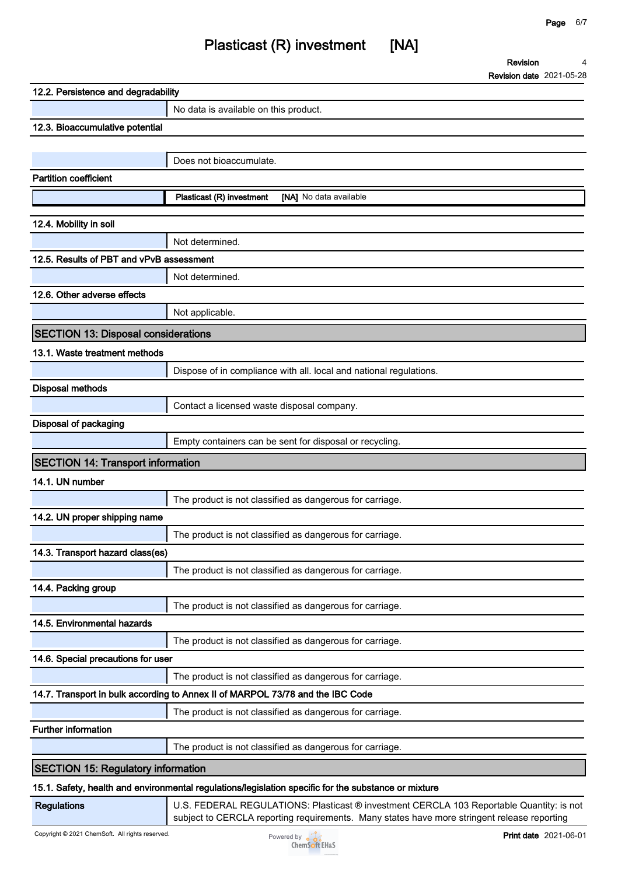**Revision**

**Page 6/7**

**Revision date 2021-05-28**

**4**

| 12.2. Persistence and degradability        |                                                                                                      |  |  |
|--------------------------------------------|------------------------------------------------------------------------------------------------------|--|--|
|                                            | No data is available on this product.                                                                |  |  |
| 12.3. Bioaccumulative potential            |                                                                                                      |  |  |
|                                            |                                                                                                      |  |  |
|                                            | Does not bioaccumulate.                                                                              |  |  |
| <b>Partition coefficient</b>               |                                                                                                      |  |  |
|                                            | Plasticast (R) investment<br>[NA] No data available                                                  |  |  |
| 12.4. Mobility in soil                     |                                                                                                      |  |  |
|                                            | Not determined.                                                                                      |  |  |
| 12.5. Results of PBT and vPvB assessment   |                                                                                                      |  |  |
|                                            | Not determined.                                                                                      |  |  |
| 12.6. Other adverse effects                |                                                                                                      |  |  |
|                                            | Not applicable.                                                                                      |  |  |
| <b>SECTION 13: Disposal considerations</b> |                                                                                                      |  |  |
| 13.1. Waste treatment methods              |                                                                                                      |  |  |
|                                            | Dispose of in compliance with all. local and national regulations.                                   |  |  |
| Disposal methods                           |                                                                                                      |  |  |
|                                            | Contact a licensed waste disposal company.                                                           |  |  |
| Disposal of packaging                      |                                                                                                      |  |  |
|                                            | Empty containers can be sent for disposal or recycling.                                              |  |  |
| <b>SECTION 14: Transport information</b>   |                                                                                                      |  |  |
| 14.1. UN number                            |                                                                                                      |  |  |
|                                            | The product is not classified as dangerous for carriage.                                             |  |  |
| 14.2. UN proper shipping name              |                                                                                                      |  |  |
|                                            | The product is not classified as dangerous for carriage.                                             |  |  |
| 14.3. Transport hazard class(es)           |                                                                                                      |  |  |
|                                            | The product is not classified as dangerous for carriage.                                             |  |  |
| 14.4. Packing group                        |                                                                                                      |  |  |
|                                            | The product is not classified as dangerous for carriage.                                             |  |  |
| 14.5. Environmental hazards                |                                                                                                      |  |  |
|                                            | The product is not classified as dangerous for carriage.                                             |  |  |
| 14.6. Special precautions for user         |                                                                                                      |  |  |
|                                            | The product is not classified as dangerous for carriage.                                             |  |  |
|                                            | 14.7. Transport in bulk according to Annex II of MARPOL 73/78 and the IBC Code                       |  |  |
|                                            | The product is not classified as dangerous for carriage.                                             |  |  |
| <b>Further information</b>                 |                                                                                                      |  |  |
|                                            | The product is not classified as dangerous for carriage.                                             |  |  |
| <b>SECTION 15: Regulatory information</b>  |                                                                                                      |  |  |
|                                            | 15.1. Safety, health and environmental regulations/legislation specific for the substance or mixture |  |  |

**Regulations U.S. FEDERAL REGULATIONS: Plasticast ® investment CERCLA 103 Reportable Quantity: is not subject to CERCLA reporting requirements. Many states have more stringent release reporting**